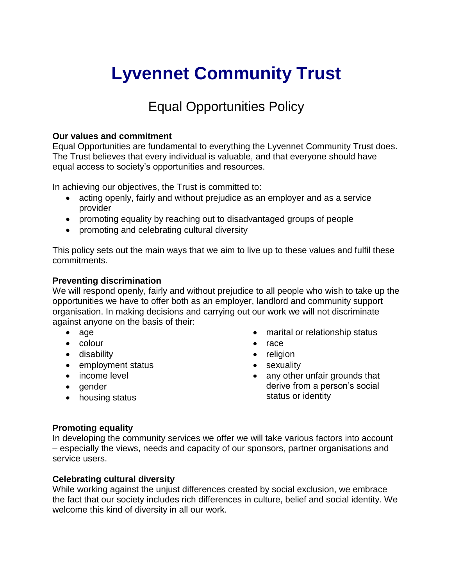# **Lyvennet Community Trust**

## Equal Opportunities Policy

#### **Our values and commitment**

Equal Opportunities are fundamental to everything the Lyvennet Community Trust does. The Trust believes that every individual is valuable, and that everyone should have equal access to society's opportunities and resources.

In achieving our objectives, the Trust is committed to:

- acting openly, fairly and without prejudice as an employer and as a service provider
- promoting equality by reaching out to disadvantaged groups of people
- promoting and celebrating cultural diversity

This policy sets out the main ways that we aim to live up to these values and fulfil these commitments.

#### **Preventing discrimination**

We will respond openly, fairly and without prejudice to all people who wish to take up the opportunities we have to offer both as an employer, landlord and community support organisation. In making decisions and carrying out our work we will not discriminate against anyone on the basis of their:

- age
- colour
- disability
- employment status
- income level
- gender
- housing status
- marital or relationship status
- race
- religion
- sexuality
- any other unfair grounds that derive from a person's social status or identity

#### **Promoting equality**

In developing the community services we offer we will take various factors into account – especially the views, needs and capacity of our sponsors, partner organisations and service users.

#### **Celebrating cultural diversity**

While working against the unjust differences created by social exclusion, we embrace the fact that our society includes rich differences in culture, belief and social identity. We welcome this kind of diversity in all our work.